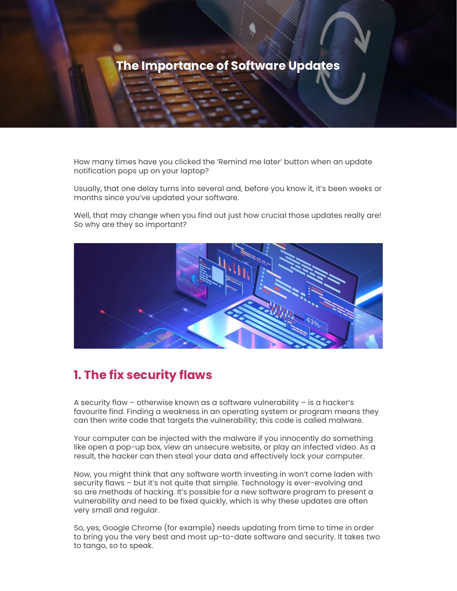

How many times have you clicked the 'Remind me later' button when an update notification pops up on your laptop?

Usually, that one delay turns into several and, before you know it, it's been weeks or months since you've updated your software.

Well, that may change when you find out just how crucial those updates really are! So why are they so important?



## **1. The fix security flaws**

A security flaw – otherwise known as a software vulnerability – is a hacker's favourite find. Finding a weakness in an operating system or program means they can then write code that targets the vulnerability; this code is called malware.

Your computer can be injected with the malware if you innocently do something like open a pop-up box, view an unsecure website, or play an infected video. As a result, the hacker can then steal your data and effectively lock your computer.

Now, you might think that any software worth investing in won't come laden with security flaws – but it's not quite that simple. Technology is ever-evolving and so are methods of hacking. It's possible for a new software program to present a vulnerability and need to be fixed quickly, which is why these updates are often very small and regular.

So, yes, Google Chrome (for example) needs updating from time to time in order to bring you the very best and most up-to-date software and security. It takes two to tango, so to speak.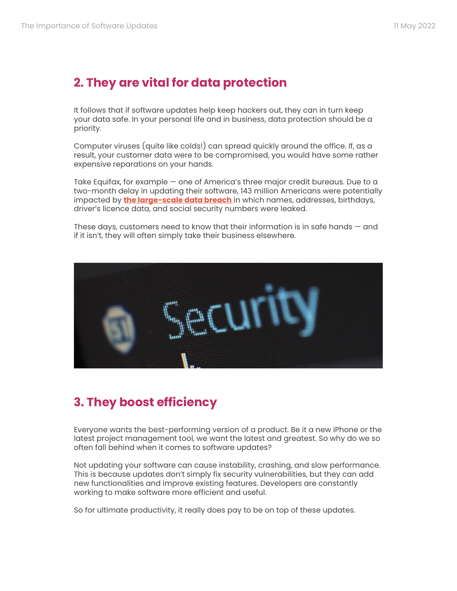## **2. They are vital for data protection**

It follows that if software updates help keep hackers out, they can in turn keep your data safe. In your personal life and in business, data protection should be a priority.

Computer viruses (quite like colds!) can spread quickly around the office. If, as a result, your customer data were to be compromised, you would have some rather expensive reparations on your hands.

Take Equifax, for example — one of America's three major credit bureaus. Due to a two-month delay in updating their software, 143 million Americans were potentially impacted by **[the large-scale data breach](https://www.mcafee.com/blogs/privacy-identity-protection/need-know-equifax-data-breach/)** in which names, addresses, birthdays, driver's licence data, and social security numbers were leaked.

These days, customers need to know that their information is in safe hands — and if it isn't, they will often simply take their business elsewhere.



## **3. They boost efficiency**

Everyone wants the best-performing version of a product. Be it a new iPhone or the latest project management tool, we want the latest and greatest. So why do we so often fall behind when it comes to software updates?

Not updating your software can cause instability, crashing, and slow performance. This is because updates don't simply fix security vulnerabilities, but they can add new functionalities and improve existing features. Developers are constantly working to make software more efficient and useful.

So for ultimate productivity, it really does pay to be on top of these updates.